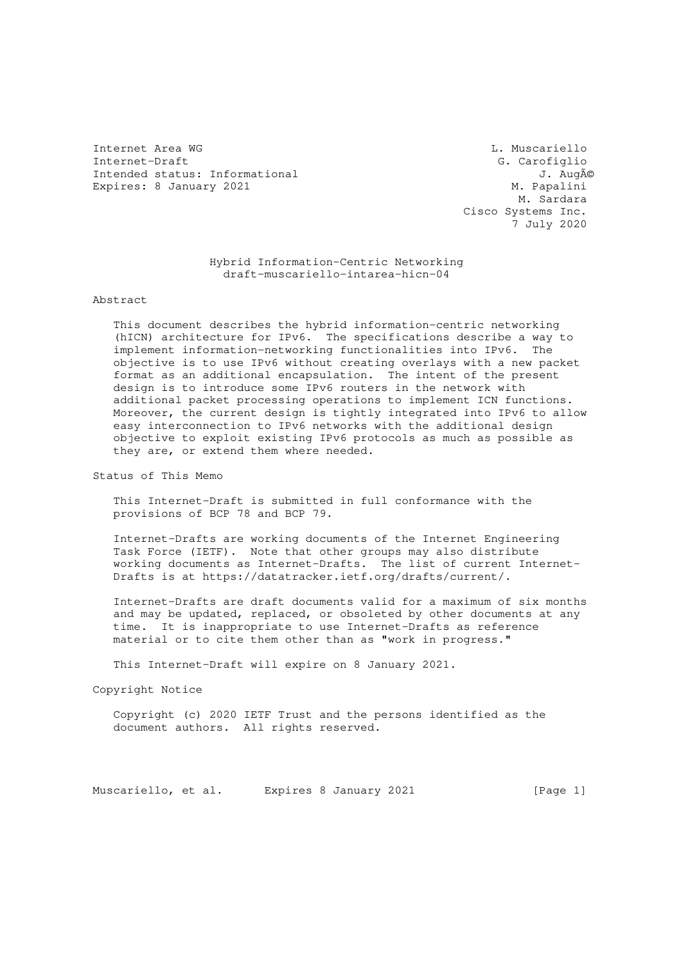Internet Area WG L. Muscariello Internet-Draft G. Carofiglio<br>
Intended status: Informational G. Carofiglio<br>
J. Augé Intended status: Informational Expires: 8 January 2021 M. Papalini

 M. Sardara Cisco Systems Inc. 7 July 2020

## Hybrid Information-Centric Networking draft-muscariello-intarea-hicn-04

Abstract

 This document describes the hybrid information-centric networking (hICN) architecture for IPv6. The specifications describe a way to implement information-networking functionalities into IPv6. The objective is to use IPv6 without creating overlays with a new packet format as an additional encapsulation. The intent of the present design is to introduce some IPv6 routers in the network with additional packet processing operations to implement ICN functions. Moreover, the current design is tightly integrated into IPv6 to allow easy interconnection to IPv6 networks with the additional design objective to exploit existing IPv6 protocols as much as possible as they are, or extend them where needed.

Status of This Memo

 This Internet-Draft is submitted in full conformance with the provisions of BCP 78 and BCP 79.

 Internet-Drafts are working documents of the Internet Engineering Task Force (IETF). Note that other groups may also distribute working documents as Internet-Drafts. The list of current Internet- Drafts is at https://datatracker.ietf.org/drafts/current/.

 Internet-Drafts are draft documents valid for a maximum of six months and may be updated, replaced, or obsoleted by other documents at any time. It is inappropriate to use Internet-Drafts as reference material or to cite them other than as "work in progress."

This Internet-Draft will expire on 8 January 2021.

Copyright Notice

 Copyright (c) 2020 IETF Trust and the persons identified as the document authors. All rights reserved.

Muscariello, et al. Expires 8 January 2021 [Page 1]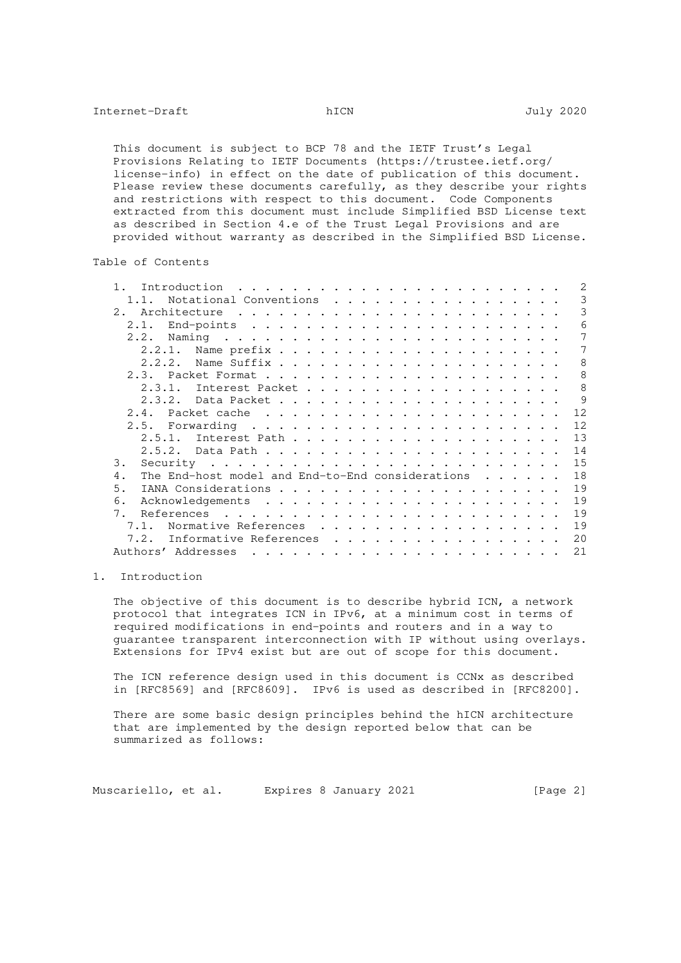This document is subject to BCP 78 and the IETF Trust's Legal Provisions Relating to IETF Documents (https://trustee.ietf.org/ license-info) in effect on the date of publication of this document. Please review these documents carefully, as they describe your rights and restrictions with respect to this document. Code Components extracted from this document must include Simplified BSD License text as described in Section 4.e of the Trust Legal Provisions and are provided without warranty as described in the Simplified BSD License.

## Table of Contents

| 3<br>Notational Conventions<br>3<br>Architecture<br>2.<br>$\frac{1}{2}$ . The contract of the contract of the contract of the contract of the contract of the contract of the contract of the contract of the contract of the contract of the contract of the contract of the contract of t<br>6<br>2.1.<br>$7\phantom{.0}$<br>2.2.<br>7<br>2.2.1.<br>8<br>2.2.2.<br>8<br>8<br>2.3.1.<br>9<br>2.3.2.<br>12<br>2.4.<br>12 |
|--------------------------------------------------------------------------------------------------------------------------------------------------------------------------------------------------------------------------------------------------------------------------------------------------------------------------------------------------------------------------------------------------------------------------|
|                                                                                                                                                                                                                                                                                                                                                                                                                          |
|                                                                                                                                                                                                                                                                                                                                                                                                                          |
|                                                                                                                                                                                                                                                                                                                                                                                                                          |
|                                                                                                                                                                                                                                                                                                                                                                                                                          |
|                                                                                                                                                                                                                                                                                                                                                                                                                          |
|                                                                                                                                                                                                                                                                                                                                                                                                                          |
|                                                                                                                                                                                                                                                                                                                                                                                                                          |
|                                                                                                                                                                                                                                                                                                                                                                                                                          |
|                                                                                                                                                                                                                                                                                                                                                                                                                          |
|                                                                                                                                                                                                                                                                                                                                                                                                                          |
|                                                                                                                                                                                                                                                                                                                                                                                                                          |
| 13<br>2.5.1.                                                                                                                                                                                                                                                                                                                                                                                                             |
| 14                                                                                                                                                                                                                                                                                                                                                                                                                       |
| 15<br>3.                                                                                                                                                                                                                                                                                                                                                                                                                 |
| 18<br>The End-host model and End-to-End considerations<br>4.                                                                                                                                                                                                                                                                                                                                                             |
| 19<br>5.                                                                                                                                                                                                                                                                                                                                                                                                                 |
| 19<br>6.                                                                                                                                                                                                                                                                                                                                                                                                                 |
| 19<br>7.<br>References<br>the contract of the contract of the contract of the contract of the contract of the contract of the contract of                                                                                                                                                                                                                                                                                |
| 19<br>Normative References<br>7.1.                                                                                                                                                                                                                                                                                                                                                                                       |
| 20<br>7.2.<br>Informative References                                                                                                                                                                                                                                                                                                                                                                                     |
| 21<br>Authors' Addresses                                                                                                                                                                                                                                                                                                                                                                                                 |

# 1. Introduction

 The objective of this document is to describe hybrid ICN, a network protocol that integrates ICN in IPv6, at a minimum cost in terms of required modifications in end-points and routers and in a way to guarantee transparent interconnection with IP without using overlays. Extensions for IPv4 exist but are out of scope for this document.

 The ICN reference design used in this document is CCNx as described in [RFC8569] and [RFC8609]. IPv6 is used as described in [RFC8200].

 There are some basic design principles behind the hICN architecture that are implemented by the design reported below that can be summarized as follows:

Muscariello, et al. Expires 8 January 2021 [Page 2]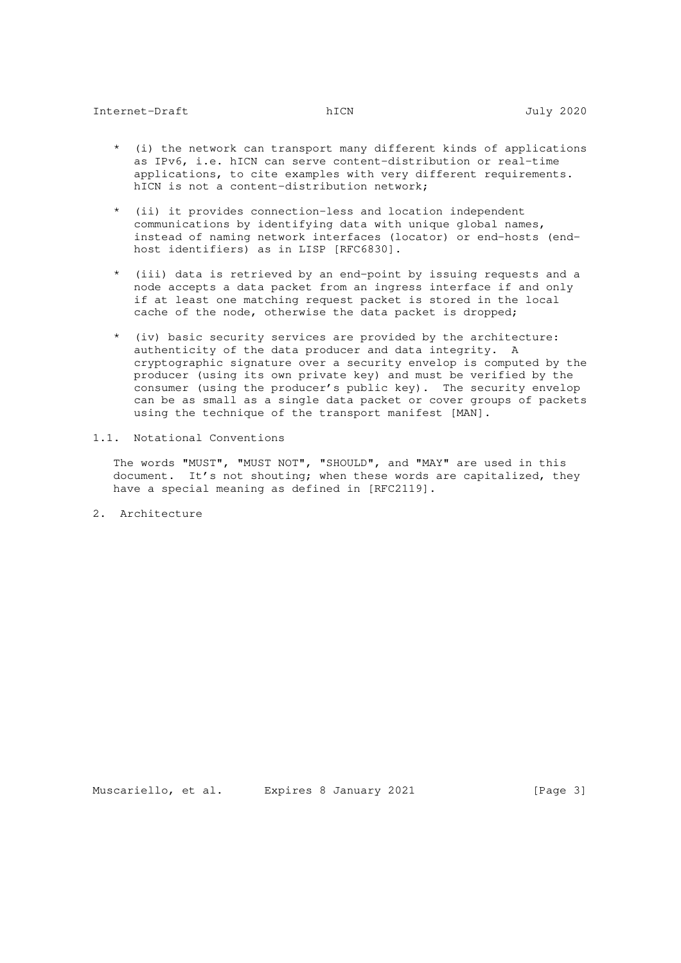- (i) the network can transport many different kinds of applications as IPv6, i.e. hICN can serve content-distribution or real-time applications, to cite examples with very different requirements. hICN is not a content-distribution network;
- \* (ii) it provides connection-less and location independent communications by identifying data with unique global names, instead of naming network interfaces (locator) or end-hosts (end host identifiers) as in LISP [RFC6830].
- \* (iii) data is retrieved by an end-point by issuing requests and a node accepts a data packet from an ingress interface if and only if at least one matching request packet is stored in the local cache of the node, otherwise the data packet is dropped;
- \* (iv) basic security services are provided by the architecture: authenticity of the data producer and data integrity. A cryptographic signature over a security envelop is computed by the producer (using its own private key) and must be verified by the consumer (using the producer's public key). The security envelop can be as small as a single data packet or cover groups of packets using the technique of the transport manifest [MAN].
- 1.1. Notational Conventions

 The words "MUST", "MUST NOT", "SHOULD", and "MAY" are used in this document. It's not shouting; when these words are capitalized, they have a special meaning as defined in [RFC2119].

2. Architecture

Muscariello, et al. Expires 8 January 2021 [Page 3]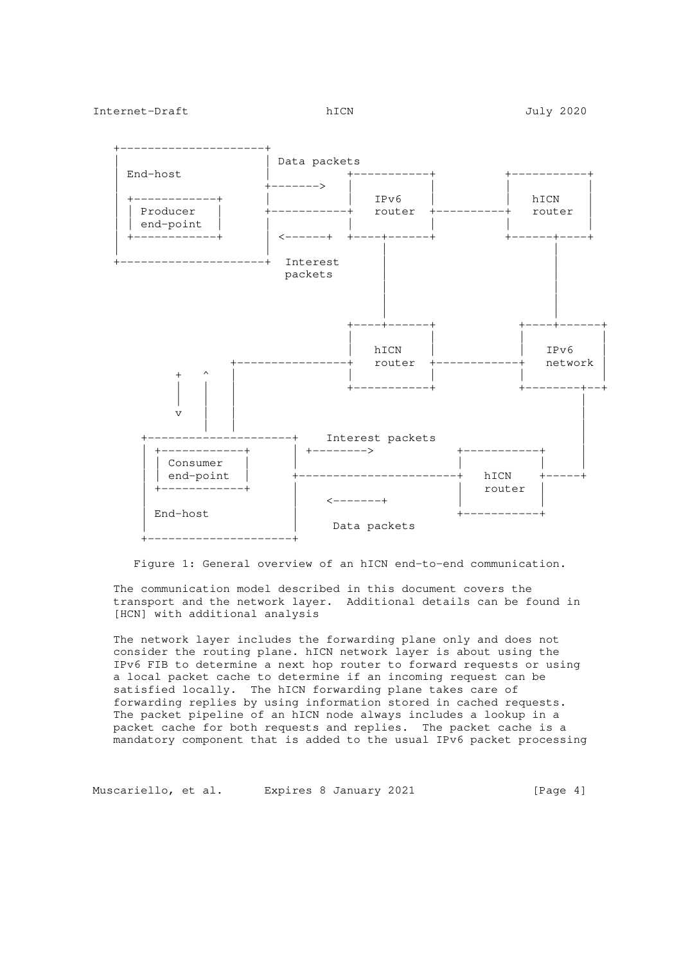

Figure 1: General overview of an hICN end-to-end communication.

 The communication model described in this document covers the transport and the network layer. Additional details can be found in [HCN] with additional analysis

 The network layer includes the forwarding plane only and does not consider the routing plane. hICN network layer is about using the IPv6 FIB to determine a next hop router to forward requests or using a local packet cache to determine if an incoming request can be satisfied locally. The hICN forwarding plane takes care of forwarding replies by using information stored in cached requests. The packet pipeline of an hICN node always includes a lookup in a packet cache for both requests and replies. The packet cache is a mandatory component that is added to the usual IPv6 packet processing

Muscariello, et al. Expires 8 January 2021 [Page 4]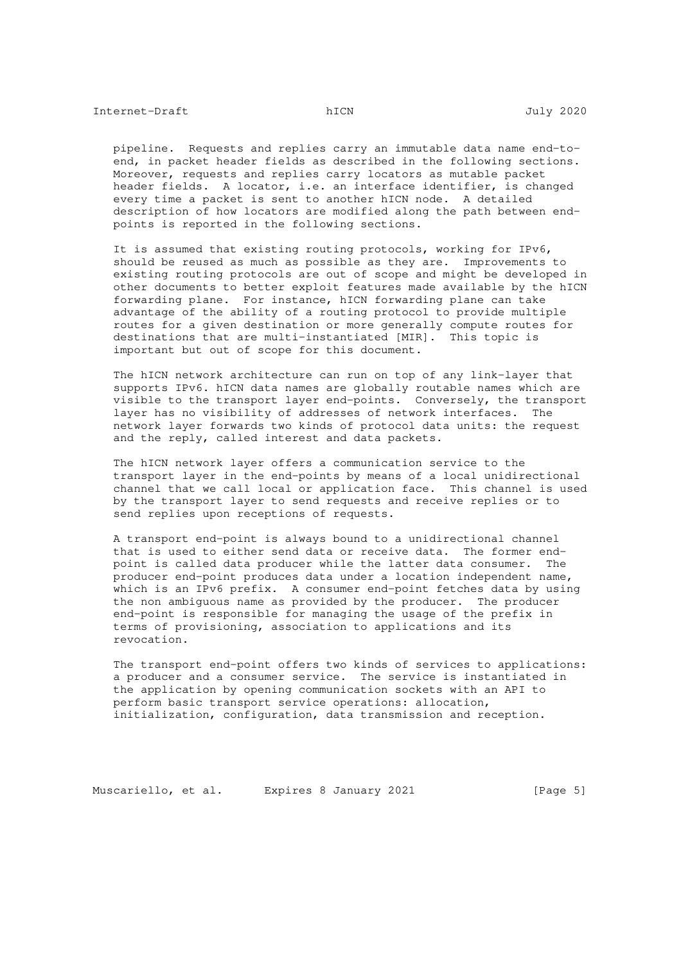pipeline. Requests and replies carry an immutable data name end-to end, in packet header fields as described in the following sections. Moreover, requests and replies carry locators as mutable packet header fields. A locator, i.e. an interface identifier, is changed every time a packet is sent to another hICN node. A detailed description of how locators are modified along the path between end points is reported in the following sections.

 It is assumed that existing routing protocols, working for IPv6, should be reused as much as possible as they are. Improvements to existing routing protocols are out of scope and might be developed in other documents to better exploit features made available by the hICN forwarding plane. For instance, hICN forwarding plane can take advantage of the ability of a routing protocol to provide multiple routes for a given destination or more generally compute routes for destinations that are multi-instantiated [MIR]. This topic is important but out of scope for this document.

 The hICN network architecture can run on top of any link-layer that supports IPv6. hICN data names are globally routable names which are visible to the transport layer end-points. Conversely, the transport layer has no visibility of addresses of network interfaces. The network layer forwards two kinds of protocol data units: the request and the reply, called interest and data packets.

 The hICN network layer offers a communication service to the transport layer in the end-points by means of a local unidirectional channel that we call local or application face. This channel is used by the transport layer to send requests and receive replies or to send replies upon receptions of requests.

 A transport end-point is always bound to a unidirectional channel that is used to either send data or receive data. The former end point is called data producer while the latter data consumer. The producer end-point produces data under a location independent name, which is an IPv6 prefix. A consumer end-point fetches data by using the non ambiguous name as provided by the producer. The producer end-point is responsible for managing the usage of the prefix in terms of provisioning, association to applications and its revocation.

 The transport end-point offers two kinds of services to applications: a producer and a consumer service. The service is instantiated in the application by opening communication sockets with an API to perform basic transport service operations: allocation, initialization, configuration, data transmission and reception.

Muscariello, et al. Expires 8 January 2021 [Page 5]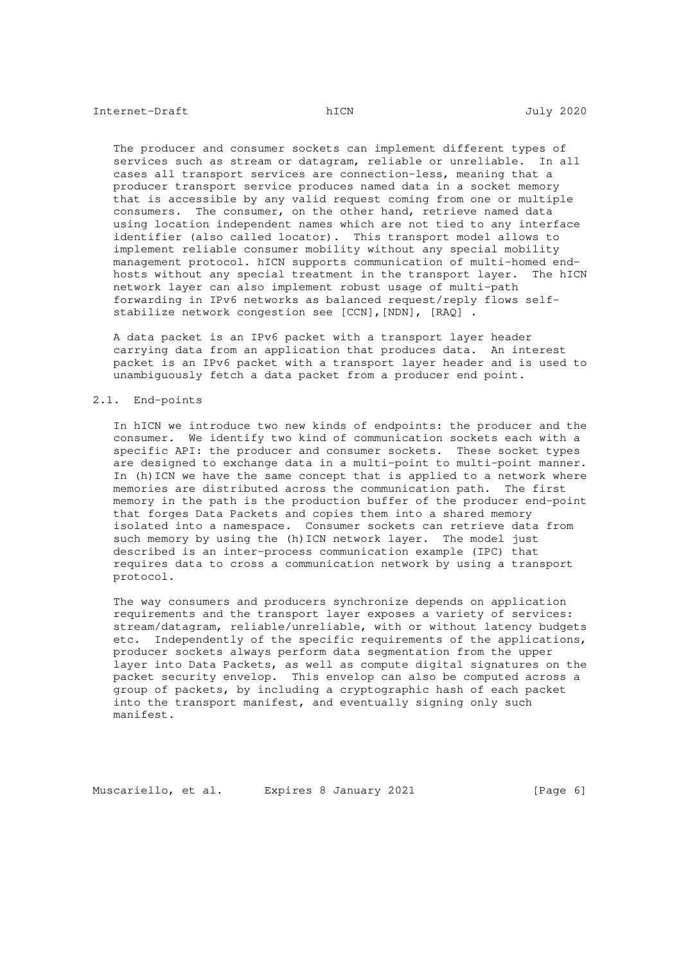The producer and consumer sockets can implement different types of services such as stream or datagram, reliable or unreliable. In all cases all transport services are connection-less, meaning that a producer transport service produces named data in a socket memory that is accessible by any valid request coming from one or multiple consumers. The consumer, on the other hand, retrieve named data using location independent names which are not tied to any interface identifier (also called locator). This transport model allows to implement reliable consumer mobility without any special mobility management protocol. hICN supports communication of multi-homed end hosts without any special treatment in the transport layer. The hICN network layer can also implement robust usage of multi-path forwarding in IPv6 networks as balanced request/reply flows self stabilize network congestion see [CCN],[NDN], [RAQ] .

 A data packet is an IPv6 packet with a transport layer header carrying data from an application that produces data. An interest packet is an IPv6 packet with a transport layer header and is used to unambiguously fetch a data packet from a producer end point.

#### 2.1. End-points

 In hICN we introduce two new kinds of endpoints: the producer and the consumer. We identify two kind of communication sockets each with a specific API: the producer and consumer sockets. These socket types are designed to exchange data in a multi-point to multi-point manner. In (h)ICN we have the same concept that is applied to a network where memories are distributed across the communication path. The first memory in the path is the production buffer of the producer end-point that forges Data Packets and copies them into a shared memory isolated into a namespace. Consumer sockets can retrieve data from such memory by using the (h)ICN network layer. The model just described is an inter-process communication example (IPC) that requires data to cross a communication network by using a transport protocol.

 The way consumers and producers synchronize depends on application requirements and the transport layer exposes a variety of services: stream/datagram, reliable/unreliable, with or without latency budgets etc. Independently of the specific requirements of the applications, producer sockets always perform data segmentation from the upper layer into Data Packets, as well as compute digital signatures on the packet security envelop. This envelop can also be computed across a group of packets, by including a cryptographic hash of each packet into the transport manifest, and eventually signing only such manifest.

Muscariello, et al. Expires 8 January 2021 [Page 6]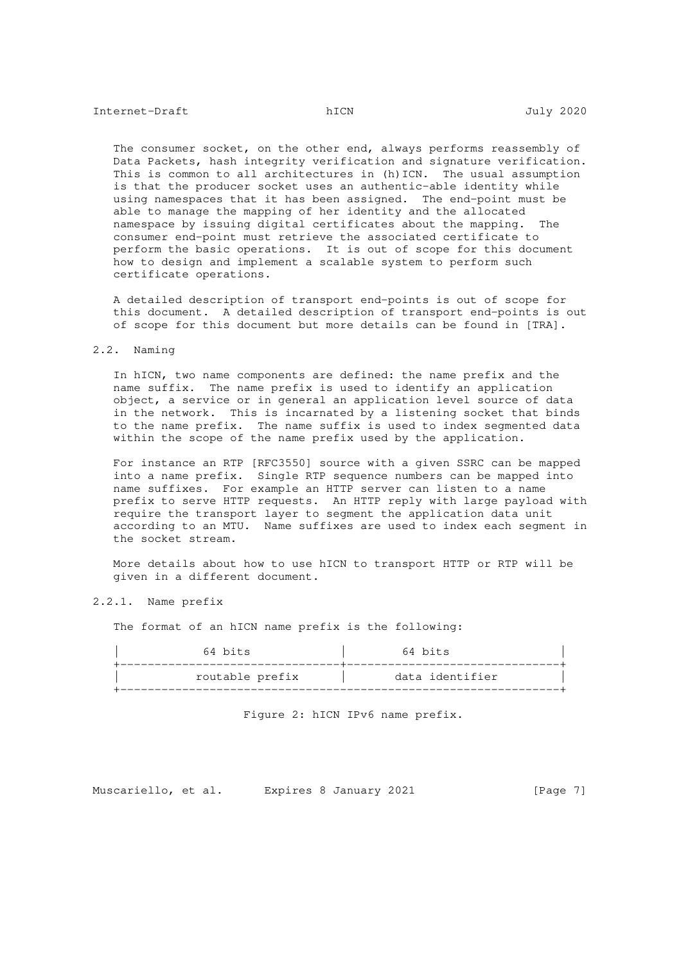The consumer socket, on the other end, always performs reassembly of Data Packets, hash integrity verification and signature verification. This is common to all architectures in (h) ICN. The usual assumption is that the producer socket uses an authentic-able identity while using namespaces that it has been assigned. The end-point must be able to manage the mapping of her identity and the allocated namespace by issuing digital certificates about the mapping. The consumer end-point must retrieve the associated certificate to perform the basic operations. It is out of scope for this document how to design and implement a scalable system to perform such certificate operations.

 A detailed description of transport end-points is out of scope for this document. A detailed description of transport end-points is out of scope for this document but more details can be found in [TRA].

## 2.2. Naming

 In hICN, two name components are defined: the name prefix and the name suffix. The name prefix is used to identify an application object, a service or in general an application level source of data in the network. This is incarnated by a listening socket that binds to the name prefix. The name suffix is used to index segmented data within the scope of the name prefix used by the application.

 For instance an RTP [RFC3550] source with a given SSRC can be mapped into a name prefix. Single RTP sequence numbers can be mapped into name suffixes. For example an HTTP server can listen to a name prefix to serve HTTP requests. An HTTP reply with large payload with require the transport layer to segment the application data unit according to an MTU. Name suffixes are used to index each segment in the socket stream.

 More details about how to use hICN to transport HTTP or RTP will be given in a different document.

### 2.2.1. Name prefix

The format of an hICN name prefix is the following:

| 64 bits         | 64 bits         |  |
|-----------------|-----------------|--|
| routable prefix | data identifier |  |
|                 |                 |  |

### Figure 2: hICN IPv6 name prefix.

Muscariello, et al. Expires 8 January 2021 [Page 7]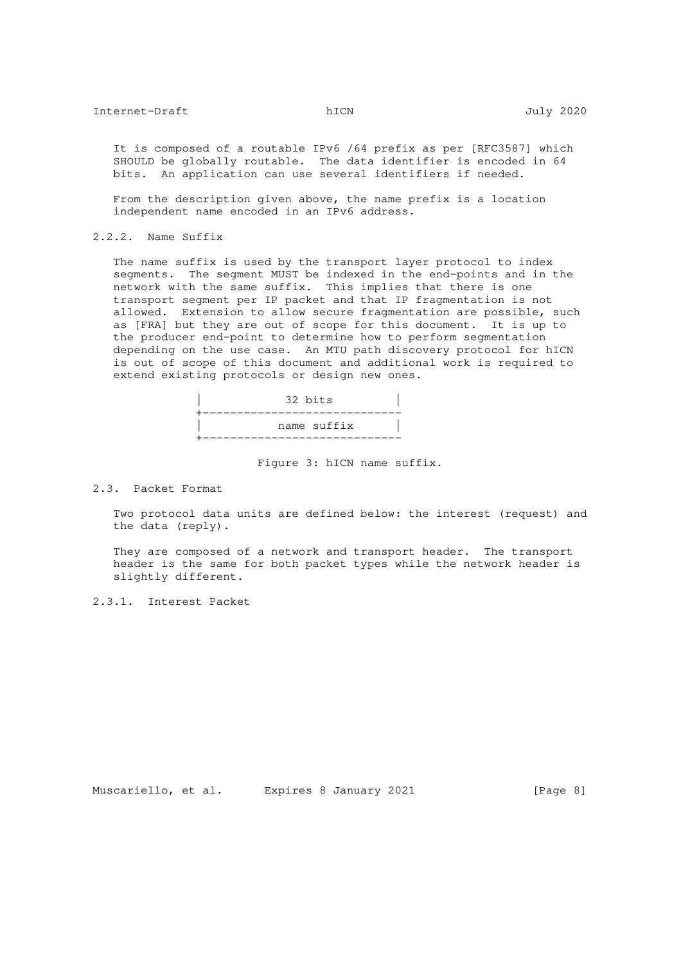It is composed of a routable IPv6 /64 prefix as per [RFC3587] which SHOULD be globally routable. The data identifier is encoded in 64 bits. An application can use several identifiers if needed.

 From the description given above, the name prefix is a location independent name encoded in an IPv6 address.

2.2.2. Name Suffix

 The name suffix is used by the transport layer protocol to index segments. The segment MUST be indexed in the end-points and in the network with the same suffix. This implies that there is one transport segment per IP packet and that IP fragmentation is not allowed. Extension to allow secure fragmentation are possible, such as [FRA] but they are out of scope for this document. It is up to the producer end-point to determine how to perform segmentation depending on the use case. An MTU path discovery protocol for hICN is out of scope of this document and additional work is required to extend existing protocols or design new ones.



Figure 3: hICN name suffix.

2.3. Packet Format

 Two protocol data units are defined below: the interest (request) and the data (reply).

 They are composed of a network and transport header. The transport header is the same for both packet types while the network header is slightly different.

2.3.1. Interest Packet

Muscariello, et al. Expires 8 January 2021 [Page 8]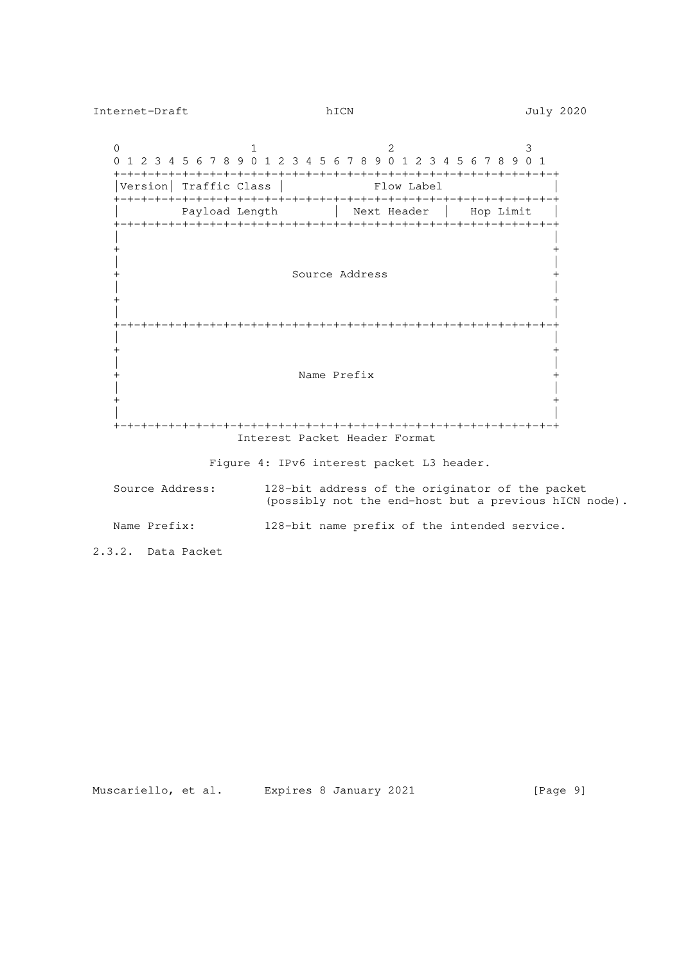0  $1$  2 3 0 1 2 3 4 5 6 7 8 9 0 1 2 3 4 5 6 7 8 9 0 1 2 3 4 5 6 7 8 9 0 1 +-+-+-+-+-+-+-+-+-+-+-+-+-+-+-+-+-+-+-+-+-+-+-+-+-+-+-+-+-+-+-+-+ | Version| Traffic Class | Flow Label | Flow Label | Flow Label | Flow Label | Flow Label | Flow Label | Flow Label | Flow Label | Flow Label | Flow Label | Flow Label | Flow Label | Flow Label | Flow Label | Flow Label | +-+-+-+-+-+-+-+-+-+-+-+-+-+-+-+-+-+-+-+-+-+-+-+-+-+-+-+-+-+-+-+-+ Payload Length | Next Header | Hop Limit +-+-+-+-+-+-+-+-+-+-+-+-+-+-+-+-+-+-+-+-+-+-+-+-+-+-+-+-+-+-+-+-+ | | + + | | + Source Address + | | + + | | +-+-+-+-+-+-+-+-+-+-+-+-+-+-+-+-+-+-+-+-+-+-+-+-+-+-+-+-+-+-+-+-+ | | + + | | + Name Prefix + | | + + | | +-+-+-+-+-+-+-+-+-+-+-+-+-+-+-+-+-+-+-+-+-+-+-+-+-+-+-+-+-+-+-+-+ Interest Packet Header Format

Figure 4: IPv6 interest packet L3 header.

 Source Address: 128-bit address of the originator of the packet (possibly not the end-host but a previous hICN node).

Name Prefix: 128-bit name prefix of the intended service.

2.3.2. Data Packet

Muscariello, et al. Expires 8 January 2021 [Page 9]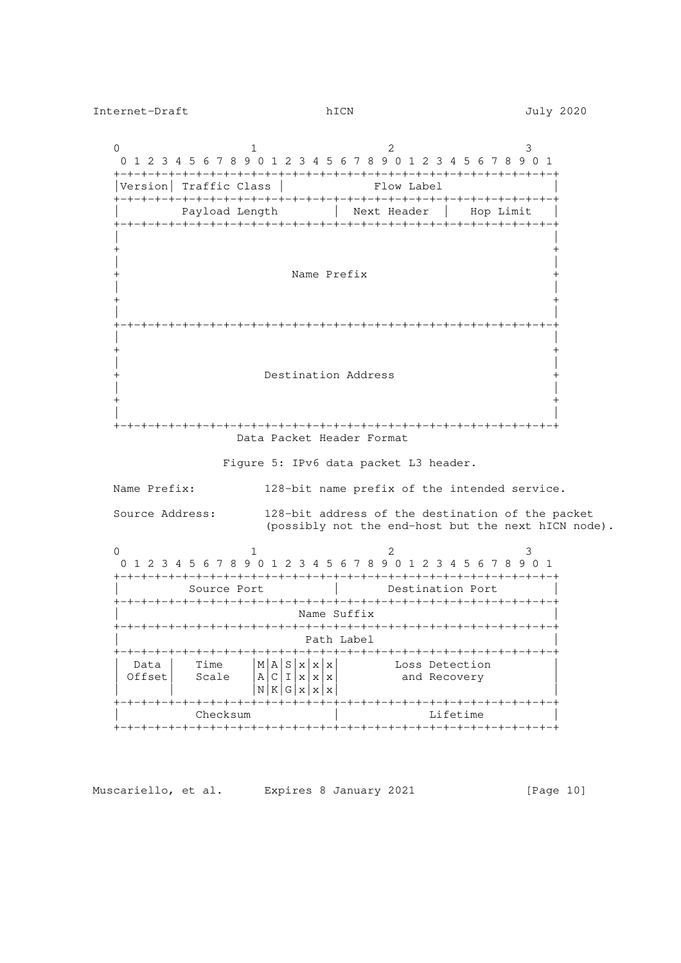0  $1$  2 3 0 1 2 3 4 5 6 7 8 9 0 1 2 3 4 5 6 7 8 9 0 1 2 3 4 5 6 7 8 9 0 1 +-+-+-+-+-+-+-+-+-+-+-+-+-+-+-+-+-+-+-+-+-+-+-+-+-+-+-+-+-+-+-+-+ |Version| Traffic Class | Flow Label +-+-+-+-+-+-+-+-+-+-+-+-+-+-+-+-+-+-+-+-+-+-+-+-+-+-+-+-+-+-+-+-+ Payload Length | Next Header | Hop Limit +-+-+-+-+-+-+-+-+-+-+-+-+-+-+-+-+-+-+-+-+-+-+-+-+-+-+-+-+-+-+-+-+ | | + + | | + Name Prefix + | | + + | | +-+-+-+-+-+-+-+-+-+-+-+-+-+-+-+-+-+-+-+-+-+-+-+-+-+-+-+-+-+-+-+-+ | | + + | | Destination Address | | + + | | +-+-+-+-+-+-+-+-+-+-+-+-+-+-+-+-+-+-+-+-+-+-+-+-+-+-+-+-+-+-+-+-+ Data Packet Header Format Figure 5: IPv6 data packet L3 header. Name Prefix: 128-bit name prefix of the intended service. Source Address: 128-bit address of the destination of the packet (possibly not the end-host but the next hICN node). 0  $1$  2 3 0 1 2 3 4 5 6 7 8 9 0 1 2 3 4 5 6 7 8 9 0 1 2 3 4 5 6 7 8 9 0 1 +-+-+-+-+-+-+-+-+-+-+-+-+-+-+-+-+-+-+-+-+-+-+-+-+-+-+-+-+-+-+-+-+ | Source Port | Destination Port | +-+-+-+-+-+-+-+-+-+-+-+-+-+-+-+-+-+-+-+-+-+-+-+-+-+-+-+-+-+-+-+-+ Name Suffix +-+-+-+-+-+-+-+-+-+-+-+-+-+-+-+-+-+-+-+-+-+-+-+-+-+-+-+-+-+-+-+-+ Path Label +-+-+-+-+-+-+-+-+-+-+-+-+-+-+-+-+-+-+-+-+-+-+-+-+-+-+-+-+-+-+-+-+  $Data$  | Time  $|M|A|S|x|x|$  | Loss Detection  $| \text{Offset} |$  Scale  $|A|C|I|x|x|$  and Recovery  $|N|K|G|X|X|X|$  +-+-+-+-+-+-+-+-+-+-+-+-+-+-+-+-+-+-+-+-+-+-+-+-+-+-+-+-+-+-+-+-+ | Checksum | Lifetime +-+-+-+-+-+-+-+-+-+-+-+-+-+-+-+-+-+-+-+-+-+-+-+-+-+-+-+-+-+-+-+-+

Muscariello, et al. Expires 8 January 2021 [Page 10]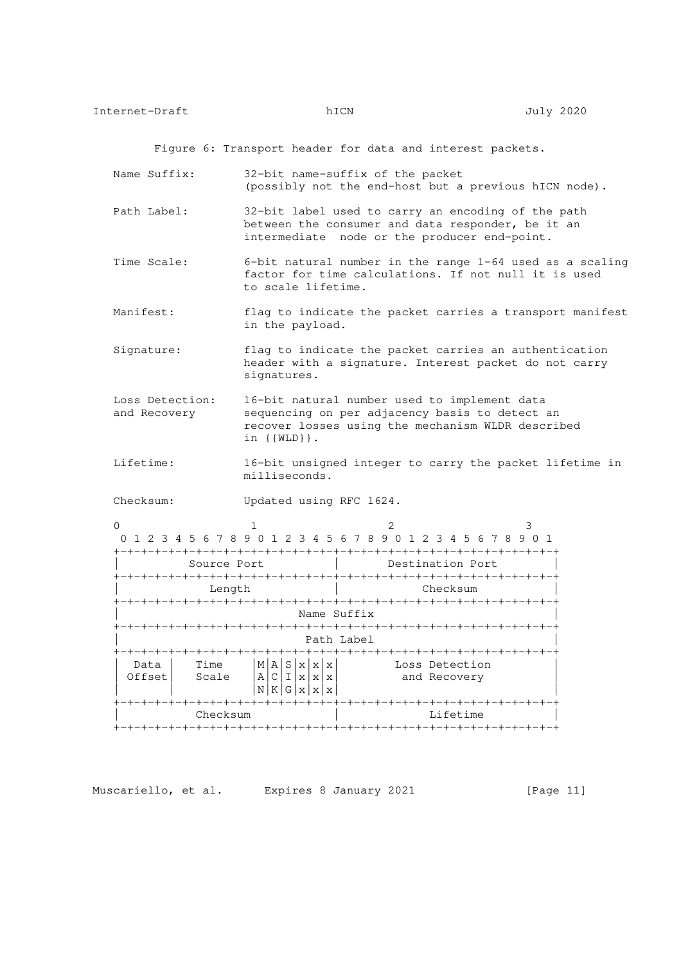Figure 6: Transport header for data and interest packets.

- Name Suffix: 32-bit name-suffix of the packet (possibly not the end-host but a previous hICN node).
- Path Label: 32-bit label used to carry an encoding of the path between the consumer and data responder, be it an intermediate node or the producer end-point.
- Time Scale: 6-bit natural number in the range 1-64 used as a scaling factor for time calculations. If not null it is used to scale lifetime.
- Manifest: flag to indicate the packet carries a transport manifest in the payload.
- Signature: flag to indicate the packet carries an authentication header with a signature. Interest packet do not carry signatures.
- Loss Detection: 16-bit natural number used to implement data and Recovery sequencing on per adjacency basis to detect an recover losses using the mechanism WLDR described in {{WLD}}.
- Lifetime: 16-bit unsigned integer to carry the packet lifetime in milliseconds.

Checksum: Updated using RFC 1624.

|        | 0 1 2 3 4 5 6 7 8 9 0 1 2 3 4 5 6 7 8 9 0 1 2 3 4 5 6 7 8 9 0 1 |              |                   |                           |                                   |                      |                |  |  |
|--------|-----------------------------------------------------------------|--------------|-------------------|---------------------------|-----------------------------------|----------------------|----------------|--|--|
|        |                                                                 |              |                   |                           |                                   |                      |                |  |  |
|        | Source Port                                                     |              |                   |                           |                                   | Destination Port     |                |  |  |
|        | +-+-+-+-+-+-+-+-+                                               |              |                   |                           | -+-+-+-+-+-+-+-+-+-+-+-+-+-+-+-+- |                      |                |  |  |
|        | Length                                                          |              |                   |                           |                                   |                      | Checksum       |  |  |
|        |                                                                 |              |                   |                           |                                   |                      |                |  |  |
|        |                                                                 |              |                   |                           | Name Suffix                       |                      |                |  |  |
|        |                                                                 |              |                   |                           |                                   |                      |                |  |  |
|        |                                                                 |              |                   |                           | Path Label                        |                      |                |  |  |
|        |                                                                 |              |                   |                           |                                   |                      |                |  |  |
| Data   | Time                                                            | S<br>М<br>ΑI | $\mathbf{x}$<br>X | $\boldsymbol{\mathsf{x}}$ |                                   |                      | Loss Detection |  |  |
| Offset | Scale                                                           | A C I x x x  |                   |                           |                                   |                      | and Recovery   |  |  |
|        |                                                                 | ΝI           | K   G   x   x   x |                           |                                   |                      |                |  |  |
|        |                                                                 |              |                   |                           |                                   | +-+-+-+-+-+-+-+-+-   |                |  |  |
|        | Checksum                                                        |              |                   |                           |                                   |                      | Lifetime       |  |  |
|        |                                                                 |              |                   |                           |                                   | -+-+-+-+-+-+-+-+-+-+ |                |  |  |

Muscariello, et al. Expires 8 January 2021 [Page 11]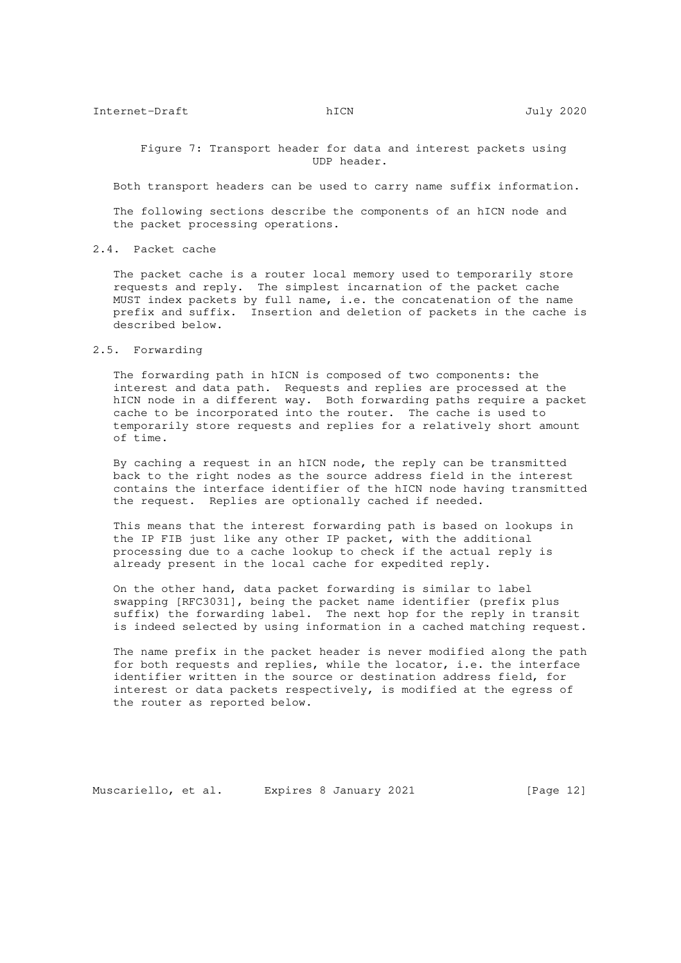Figure 7: Transport header for data and interest packets using UDP header.

Both transport headers can be used to carry name suffix information.

 The following sections describe the components of an hICN node and the packet processing operations.

## 2.4. Packet cache

 The packet cache is a router local memory used to temporarily store requests and reply. The simplest incarnation of the packet cache MUST index packets by full name, i.e. the concatenation of the name prefix and suffix. Insertion and deletion of packets in the cache is described below.

## 2.5. Forwarding

 The forwarding path in hICN is composed of two components: the interest and data path. Requests and replies are processed at the hICN node in a different way. Both forwarding paths require a packet cache to be incorporated into the router. The cache is used to temporarily store requests and replies for a relatively short amount of time.

 By caching a request in an hICN node, the reply can be transmitted back to the right nodes as the source address field in the interest contains the interface identifier of the hICN node having transmitted the request. Replies are optionally cached if needed.

 This means that the interest forwarding path is based on lookups in the IP FIB just like any other IP packet, with the additional processing due to a cache lookup to check if the actual reply is already present in the local cache for expedited reply.

 On the other hand, data packet forwarding is similar to label swapping [RFC3031], being the packet name identifier (prefix plus suffix) the forwarding label. The next hop for the reply in transit is indeed selected by using information in a cached matching request.

 The name prefix in the packet header is never modified along the path for both requests and replies, while the locator, i.e. the interface identifier written in the source or destination address field, for interest or data packets respectively, is modified at the egress of the router as reported below.

Muscariello, et al. Expires 8 January 2021 [Page 12]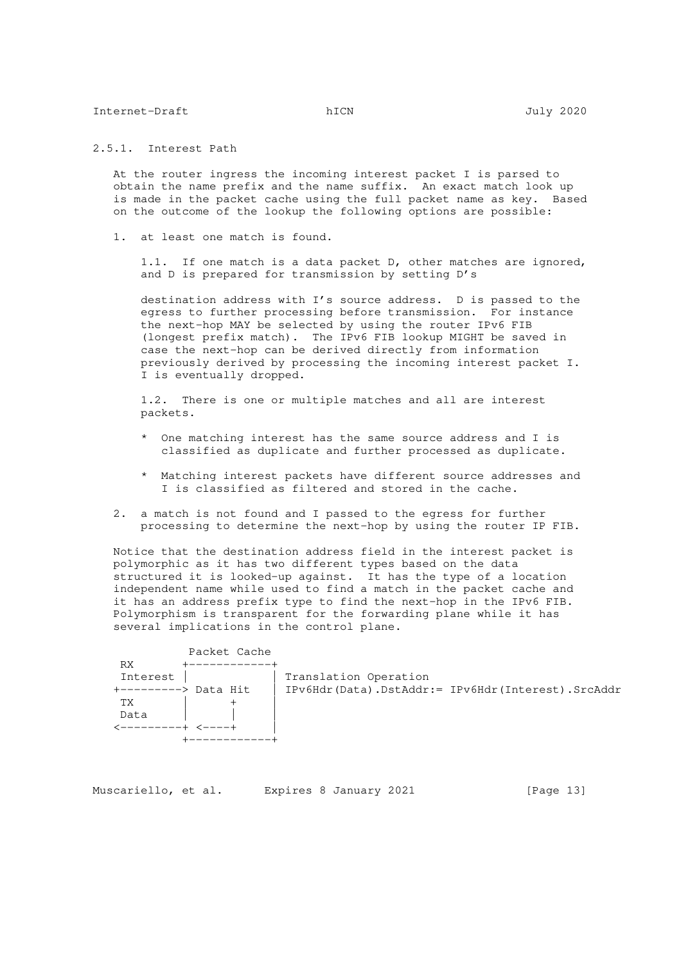2.5.1. Interest Path

 At the router ingress the incoming interest packet I is parsed to obtain the name prefix and the name suffix. An exact match look up is made in the packet cache using the full packet name as key. Based on the outcome of the lookup the following options are possible:

1. at least one match is found.

 1.1. If one match is a data packet D, other matches are ignored, and D is prepared for transmission by setting D's

 destination address with I's source address. D is passed to the egress to further processing before transmission. For instance the next-hop MAY be selected by using the router IPv6 FIB (longest prefix match). The IPv6 FIB lookup MIGHT be saved in case the next-hop can be derived directly from information previously derived by processing the incoming interest packet I. I is eventually dropped.

 1.2. There is one or multiple matches and all are interest packets.

- \* One matching interest has the same source address and I is classified as duplicate and further processed as duplicate.
- \* Matching interest packets have different source addresses and I is classified as filtered and stored in the cache.
- 2. a match is not found and I passed to the egress for further processing to determine the next-hop by using the router IP FIB.

 Notice that the destination address field in the interest packet is polymorphic as it has two different types based on the data structured it is looked-up against. It has the type of a location independent name while used to find a match in the packet cache and it has an address prefix type to find the next-hop in the IPv6 FIB. Polymorphism is transparent for the forwarding plane while it has several implications in the control plane.

| Packet Cache        |                                                   |
|---------------------|---------------------------------------------------|
| RX                  |                                                   |
| Interest            | Translation Operation                             |
| ---------> Data Hit | IPv6Hdr(Data).DstAddr:= IPv6Hdr(Interest).SrcAddr |
| TХ                  |                                                   |
| Data                |                                                   |
|                     |                                                   |
|                     |                                                   |

| Muscariello, et al. | Expires 8 January 2021 | [Page 13] |
|---------------------|------------------------|-----------|
|---------------------|------------------------|-----------|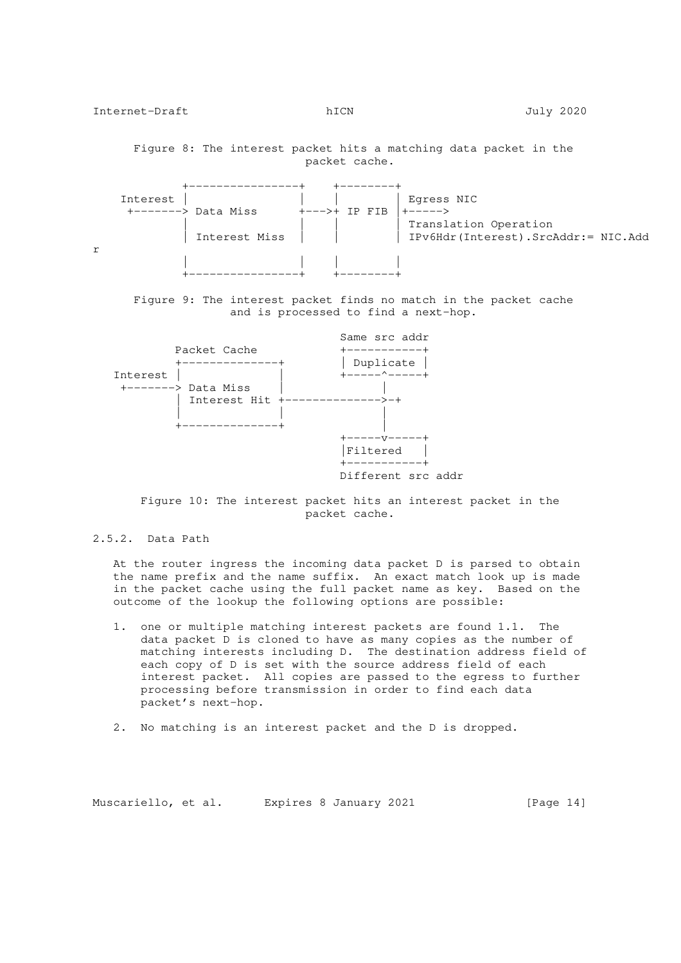Figure 8: The interest packet hits a matching data packet in the packet cache.

|   | Interest            |                 | Egress NIC                                                   |
|---|---------------------|-----------------|--------------------------------------------------------------|
|   | +-------> Data Miss | $+--->+$ TP FTB |                                                              |
|   | Interest Miss       |                 | Translation Operation<br>IPv6Hdr(Interest).SrcAddr:= NIC.Add |
| r |                     |                 |                                                              |

 Figure 9: The interest packet finds no match in the packet cache and is processed to find a next-hop.



 Figure 10: The interest packet hits an interest packet in the packet cache.

2.5.2. Data Path

 At the router ingress the incoming data packet D is parsed to obtain the name prefix and the name suffix. An exact match look up is made in the packet cache using the full packet name as key. Based on the outcome of the lookup the following options are possible:

- 1. one or multiple matching interest packets are found 1.1. The data packet D is cloned to have as many copies as the number of matching interests including D. The destination address field of each copy of D is set with the source address field of each interest packet. All copies are passed to the egress to further processing before transmission in order to find each data packet's next-hop.
- 2. No matching is an interest packet and the D is dropped.

Muscariello, et al. Expires 8 January 2021 [Page 14]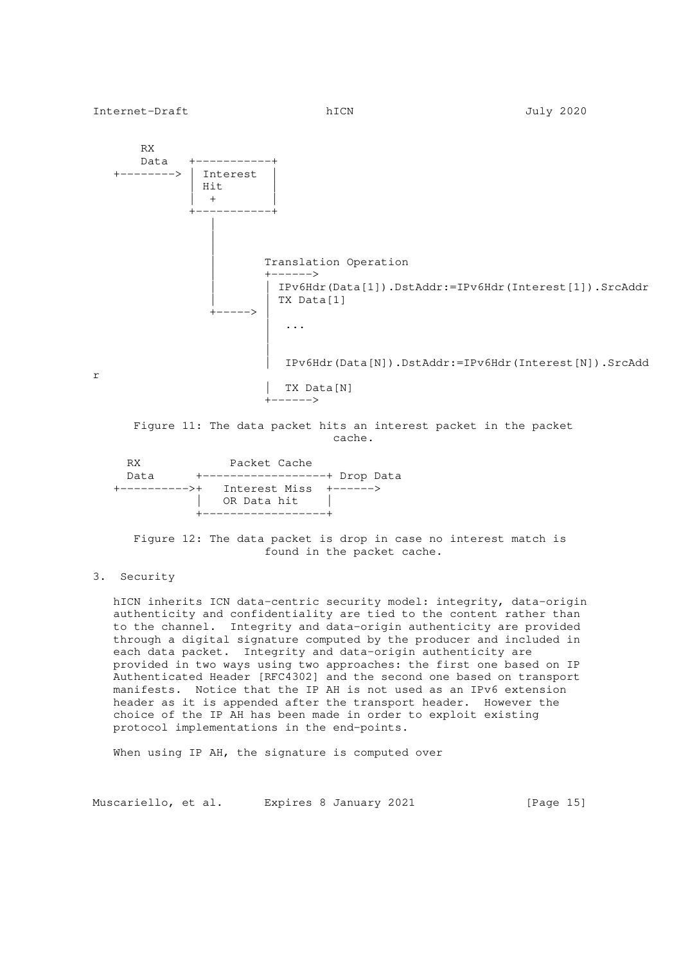

## 3. Security

 hICN inherits ICN data-centric security model: integrity, data-origin authenticity and confidentiality are tied to the content rather than to the channel. Integrity and data-origin authenticity are provided through a digital signature computed by the producer and included in each data packet. Integrity and data-origin authenticity are provided in two ways using two approaches: the first one based on IP Authenticated Header [RFC4302] and the second one based on transport manifests. Notice that the IP AH is not used as an IPv6 extension header as it is appended after the transport header. However the choice of the IP AH has been made in order to exploit existing protocol implementations in the end-points.

When using IP AH, the signature is computed over

Muscariello, et al. Expires 8 January 2021 [Page 15]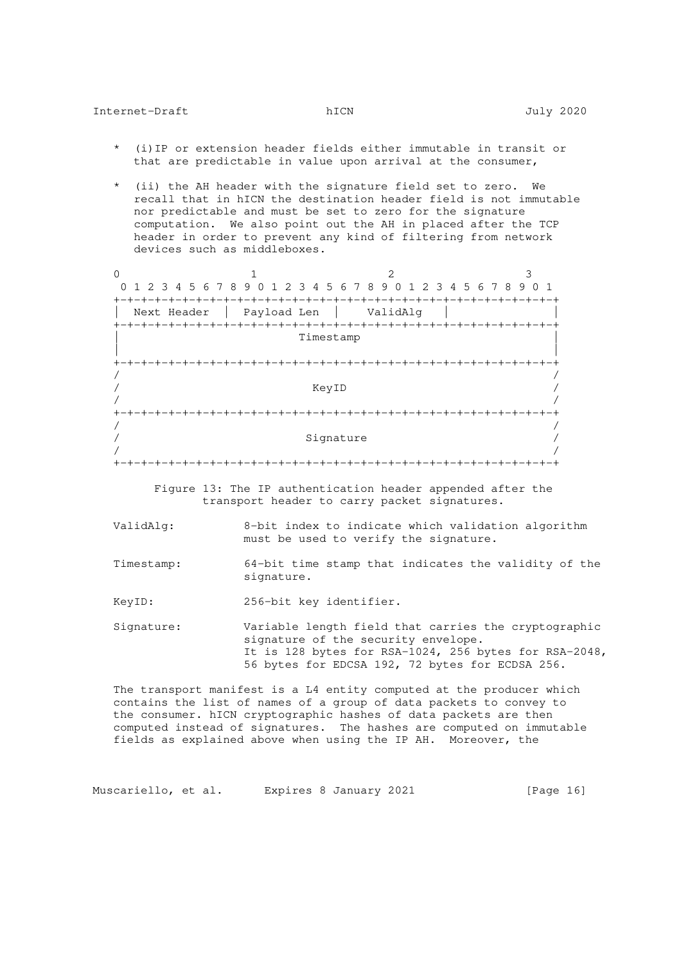- (i) IP or extension header fields either immutable in transit or that are predictable in value upon arrival at the consumer,
- \* (ii) the AH header with the signature field set to zero. We recall that in hICN the destination header field is not immutable nor predictable and must be set to zero for the signature computation. We also point out the AH in placed after the TCP header in order to prevent any kind of filtering from network devices such as middleboxes.

| 0 1 2 3 4 5 6 7 8 9 0 1 2 3 4 5 6 7 8 9 0 1 2 3 4 5 6 7 8 9 0 1 |                 |           |       |               |  |                            |  |  |  |                  |  |
|-----------------------------------------------------------------|-----------------|-----------|-------|---------------|--|----------------------------|--|--|--|------------------|--|
| Next Header                                                     | Payload Len     |           |       | +-+-+-+-+-+-+ |  | ValidAlq                   |  |  |  |                  |  |
|                                                                 | -+-+-+-+-+-+-+- | Timestamp |       |               |  |                            |  |  |  | -+-+-+-+-+-+-+-+ |  |
|                                                                 |                 |           |       |               |  |                            |  |  |  |                  |  |
|                                                                 | -+-+-+-+-+-+-+- |           |       |               |  | -+-+-+-+-+-+-+-+-+-+-+-+-+ |  |  |  |                  |  |
|                                                                 |                 |           | KeyID |               |  |                            |  |  |  |                  |  |
|                                                                 |                 |           |       |               |  |                            |  |  |  |                  |  |
|                                                                 |                 |           |       |               |  |                            |  |  |  |                  |  |
|                                                                 |                 |           |       | Signature     |  |                            |  |  |  |                  |  |
| $+ \cdot$                                                       |                 |           |       |               |  |                            |  |  |  |                  |  |

 Figure 13: The IP authentication header appended after the transport header to carry packet signatures.

- ValidAlg: 8-bit index to indicate which validation algorithm must be used to verify the signature.
- Timestamp: 64-bit time stamp that indicates the validity of the signature.

KeyID: 256-bit key identifier.

 Signature: Variable length field that carries the cryptographic signature of the security envelope. It is 128 bytes for RSA-1024, 256 bytes for RSA-2048, 56 bytes for EDCSA 192, 72 bytes for ECDSA 256.

 The transport manifest is a L4 entity computed at the producer which contains the list of names of a group of data packets to convey to the consumer. hICN cryptographic hashes of data packets are then computed instead of signatures. The hashes are computed on immutable fields as explained above when using the IP AH. Moreover, the

Muscariello, et al. Expires 8 January 2021 [Page 16]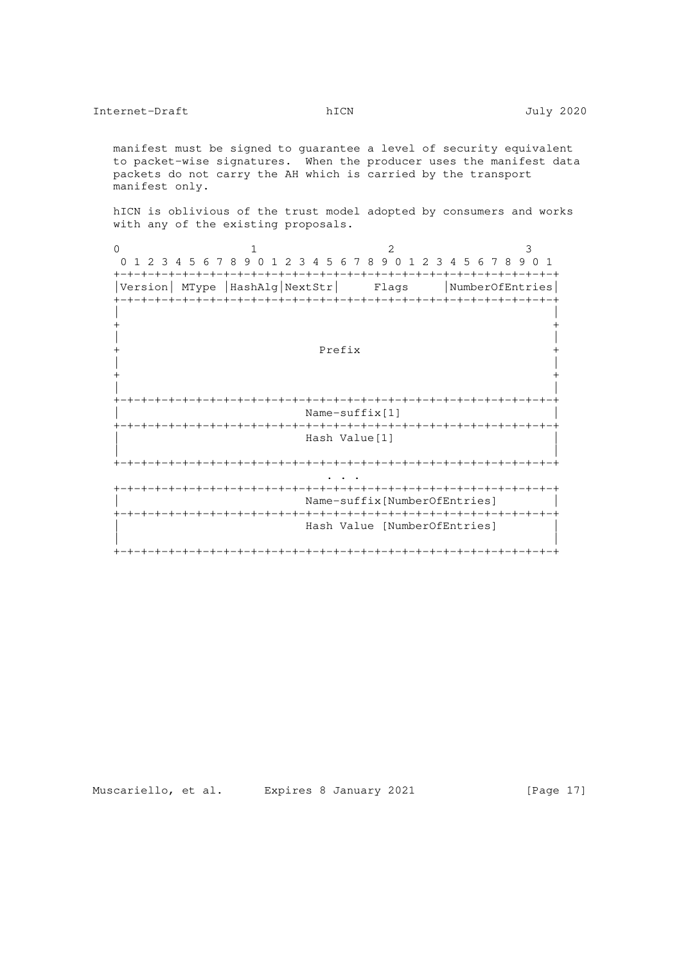manifest must be signed to guarantee a level of security equivalent to packet-wise signatures. When the producer uses the manifest data packets do not carry the AH which is carried by the transport manifest only.

 hICN is oblivious of the trust model adopted by consumers and works with any of the existing proposals.

0  $1$  2 3 0 1 2 3 4 5 6 7 8 9 0 1 2 3 4 5 6 7 8 9 0 1 2 3 4 5 6 7 8 9 0 1 +-+-+-+-+-+-+-+-+-+-+-+-+-+-+-+-+-+-+-+-+-+-+-+-+-+-+-+-+-+-+-+-+ |Version| MType |HashAlg|NextStr| Flags |NumberOfEntries| +-+-+-+-+-+-+-+-+-+-+-+-+-+-+-+-+-+-+-+-+-+-+-+-+-+-+-+-+-+-+-+-+ | | + + | | + Prefix + | | + + | | +-+-+-+-+-+-+-+-+-+-+-+-+-+-+-+-+-+-+-+-+-+-+-+-+-+-+-+-+-+-+-+-+ Name-suffix[1] +-+-+-+-+-+-+-+-+-+-+-+-+-+-+-+-+-+-+-+-+-+-+-+-+-+-+-+-+-+-+-+-+ Hash Value[1] | | +-+-+-+-+-+-+-+-+-+-+-+-+-+-+-+-+-+-+-+-+-+-+-+-+-+-+-+-+-+-+-+-+ . . . +-+-+-+-+-+-+-+-+-+-+-+-+-+-+-+-+-+-+-+-+-+-+-+-+-+-+-+-+-+-+-+-+ Name-suffix[NumberOfEntries] +-+-+-+-+-+-+-+-+-+-+-+-+-+-+-+-+-+-+-+-+-+-+-+-+-+-+-+-+-+-+-+-+ Hash Value [NumberOfEntries] | | +-+-+-+-+-+-+-+-+-+-+-+-+-+-+-+-+-+-+-+-+-+-+-+-+-+-+-+-+-+-+-+-+

Muscariello, et al. Expires 8 January 2021 [Page 17]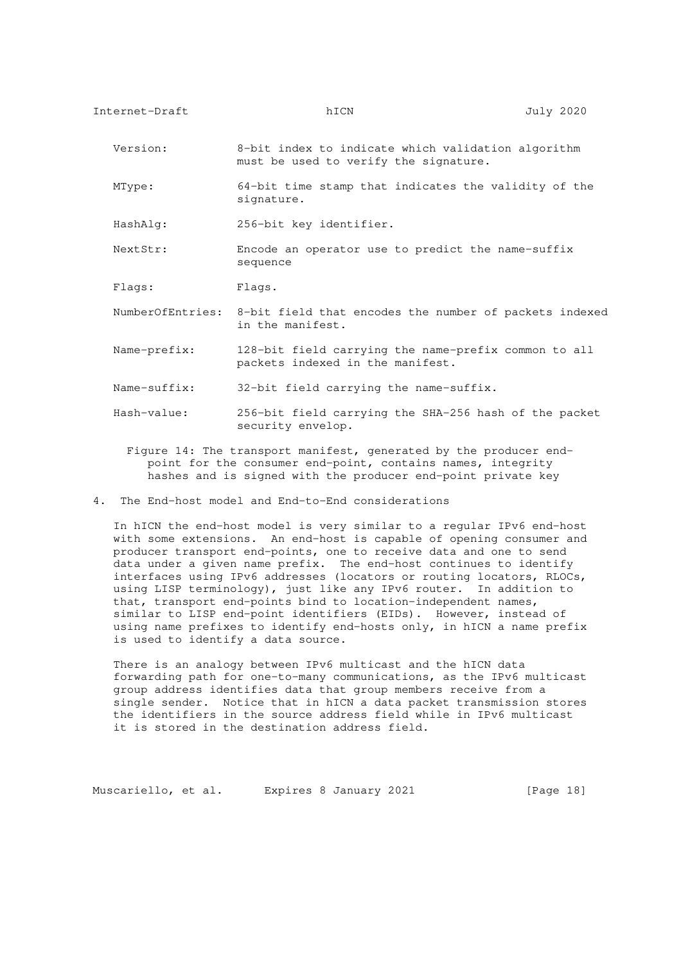Version: 8-bit index to indicate which validation algorithm must be used to verify the signature.

 MType: 64-bit time stamp that indicates the validity of the signature.

HashAlg: 256-bit key identifier.

 NextStr: Encode an operator use to predict the name-suffix sequence

Flags: Flags.

- NumberOfEntries: 8-bit field that encodes the number of packets indexed in the manifest.
- Name-prefix: 128-bit field carrying the name-prefix common to all packets indexed in the manifest.
- Name-suffix: 32-bit field carrying the name-suffix.
- Hash-value: 256-bit field carrying the SHA-256 hash of the packet security envelop.
	- Figure 14: The transport manifest, generated by the producer end point for the consumer end-point, contains names, integrity hashes and is signed with the producer end-point private key
- 4. The End-host model and End-to-End considerations

 In hICN the end-host model is very similar to a regular IPv6 end-host with some extensions. An end-host is capable of opening consumer and producer transport end-points, one to receive data and one to send data under a given name prefix. The end-host continues to identify interfaces using IPv6 addresses (locators or routing locators, RLOCs, using LISP terminology), just like any IPv6 router. In addition to that, transport end-points bind to location-independent names, similar to LISP end-point identifiers (EIDs). However, instead of using name prefixes to identify end-hosts only, in hICN a name prefix is used to identify a data source.

 There is an analogy between IPv6 multicast and the hICN data forwarding path for one-to-many communications, as the IPv6 multicast group address identifies data that group members receive from a single sender. Notice that in hICN a data packet transmission stores the identifiers in the source address field while in IPv6 multicast it is stored in the destination address field.

Muscariello, et al. Expires 8 January 2021 [Page 18]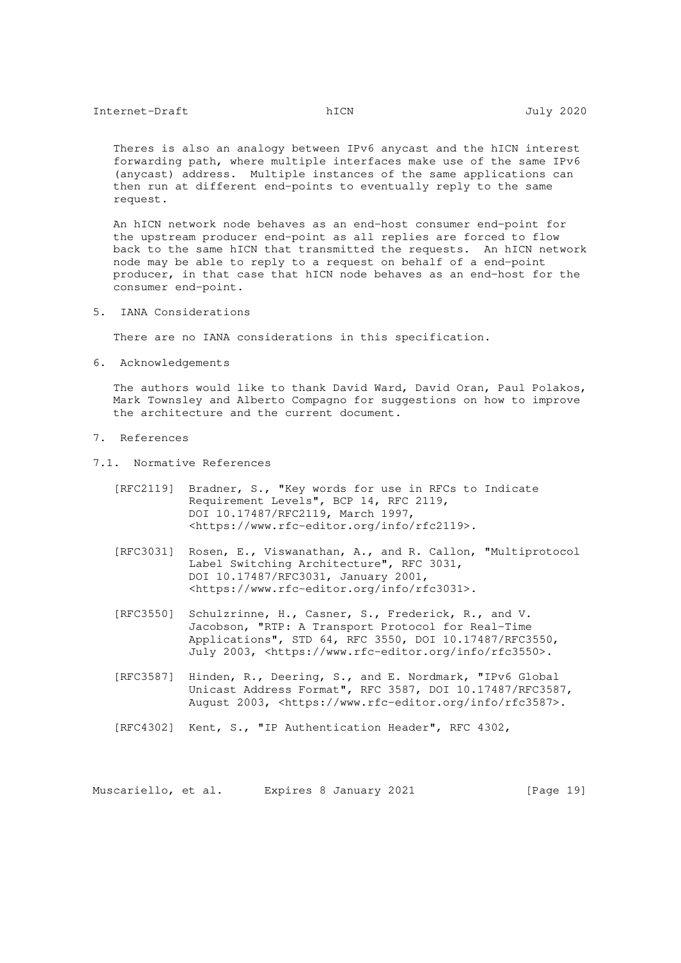Theres is also an analogy between IPv6 anycast and the hICN interest forwarding path, where multiple interfaces make use of the same IPv6 (anycast) address. Multiple instances of the same applications can then run at different end-points to eventually reply to the same request.

 An hICN network node behaves as an end-host consumer end-point for the upstream producer end-point as all replies are forced to flow back to the same hICN that transmitted the requests. An hICN network node may be able to reply to a request on behalf of a end-point producer, in that case that hICN node behaves as an end-host for the consumer end-point.

5. IANA Considerations

There are no IANA considerations in this specification.

6. Acknowledgements

 The authors would like to thank David Ward, David Oran, Paul Polakos, Mark Townsley and Alberto Compagno for suggestions on how to improve the architecture and the current document.

- 7. References
- 7.1. Normative References
	- [RFC2119] Bradner, S., "Key words for use in RFCs to Indicate Requirement Levels", BCP 14, RFC 2119, DOI 10.17487/RFC2119, March 1997, <https://www.rfc-editor.org/info/rfc2119>.
	- [RFC3031] Rosen, E., Viswanathan, A., and R. Callon, "Multiprotocol Label Switching Architecture", RFC 3031, DOI 10.17487/RFC3031, January 2001, <https://www.rfc-editor.org/info/rfc3031>.
	- [RFC3550] Schulzrinne, H., Casner, S., Frederick, R., and V. Jacobson, "RTP: A Transport Protocol for Real-Time Applications", STD 64, RFC 3550, DOI 10.17487/RFC3550, July 2003, <https://www.rfc-editor.org/info/rfc3550>.
	- [RFC3587] Hinden, R., Deering, S., and E. Nordmark, "IPv6 Global Unicast Address Format", RFC 3587, DOI 10.17487/RFC3587, August 2003, <https://www.rfc-editor.org/info/rfc3587>.
	- [RFC4302] Kent, S., "IP Authentication Header", RFC 4302,

Muscariello, et al. Expires 8 January 2021 [Page 19]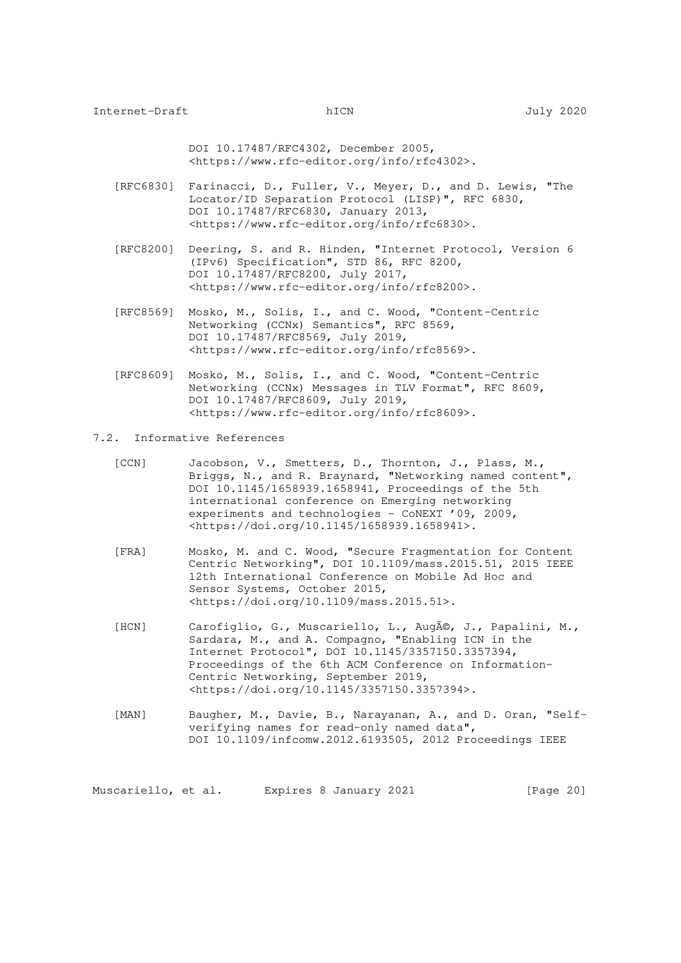DOI 10.17487/RFC4302, December 2005, <https://www.rfc-editor.org/info/rfc4302>.

- [RFC6830] Farinacci, D., Fuller, V., Meyer, D., and D. Lewis, "The Locator/ID Separation Protocol (LISP)", RFC 6830, DOI 10.17487/RFC6830, January 2013, <https://www.rfc-editor.org/info/rfc6830>.
- [RFC8200] Deering, S. and R. Hinden, "Internet Protocol, Version 6 (IPv6) Specification", STD 86, RFC 8200, DOI 10.17487/RFC8200, July 2017, <https://www.rfc-editor.org/info/rfc8200>.
- [RFC8569] Mosko, M., Solis, I., and C. Wood, "Content-Centric Networking (CCNx) Semantics", RFC 8569, DOI 10.17487/RFC8569, July 2019, <https://www.rfc-editor.org/info/rfc8569>.
- [RFC8609] Mosko, M., Solis, I., and C. Wood, "Content-Centric Networking (CCNx) Messages in TLV Format", RFC 8609, DOI 10.17487/RFC8609, July 2019, <https://www.rfc-editor.org/info/rfc8609>.
- 7.2. Informative References
	- [CCN] Jacobson, V., Smetters, D., Thornton, J., Plass, M., Briggs, N., and R. Braynard, "Networking named content", DOI 10.1145/1658939.1658941, Proceedings of the 5th international conference on Emerging networking experiments and technologies - CoNEXT '09, 2009, <https://doi.org/10.1145/1658939.1658941>.
	- [FRA] Mosko, M. and C. Wood, "Secure Fragmentation for Content Centric Networking", DOI 10.1109/mass.2015.51, 2015 IEEE 12th International Conference on Mobile Ad Hoc and Sensor Systems, October 2015, <https://doi.org/10.1109/mass.2015.51>.
	- [HCN] Carofiglio, G., Muscariello, L., Augé, J., Papalini, M., Sardara, M., and A. Compagno, "Enabling ICN in the Internet Protocol", DOI 10.1145/3357150.3357394, Proceedings of the 6th ACM Conference on Information- Centric Networking, September 2019, <https://doi.org/10.1145/3357150.3357394>.
	- [MAN] Baugher, M., Davie, B., Narayanan, A., and D. Oran, "Self verifying names for read-only named data", DOI 10.1109/infcomw.2012.6193505, 2012 Proceedings IEEE

Muscariello, et al. Expires 8 January 2021 [Page 20]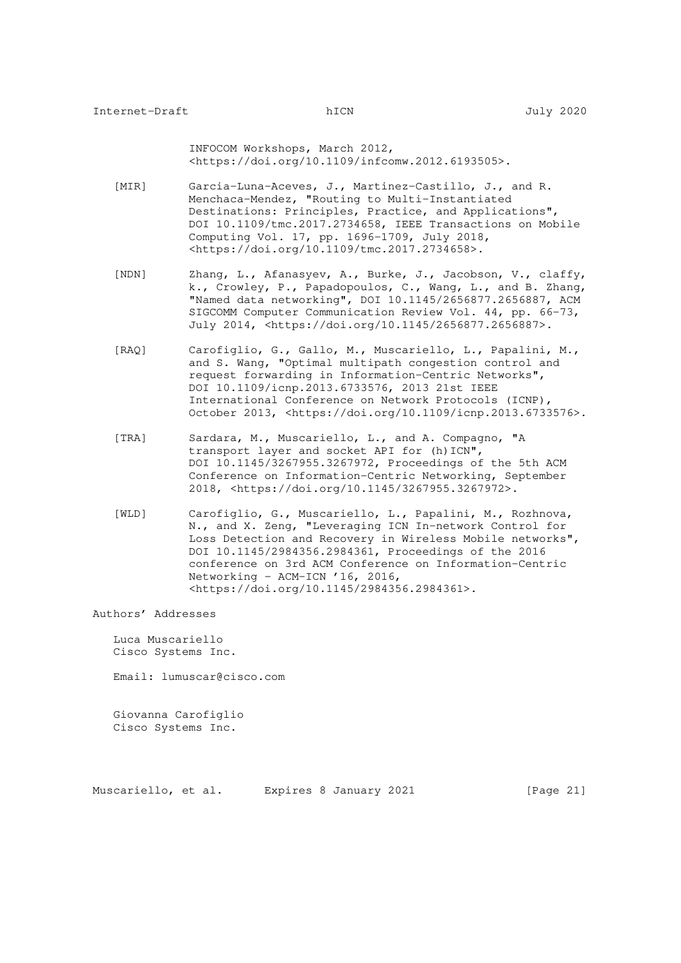INFOCOM Workshops, March 2012, <https://doi.org/10.1109/infcomw.2012.6193505>.

- [MIR] Garcia-Luna-Aceves, J., Martinez-Castillo, J., and R. Menchaca-Mendez, "Routing to Multi-Instantiated Destinations: Principles, Practice, and Applications", DOI 10.1109/tmc.2017.2734658, IEEE Transactions on Mobile Computing Vol. 17, pp. 1696-1709, July 2018, <https://doi.org/10.1109/tmc.2017.2734658>.
	- [NDN] Zhang, L., Afanasyev, A., Burke, J., Jacobson, V., claffy, k., Crowley, P., Papadopoulos, C., Wang, L., and B. Zhang, "Named data networking", DOI 10.1145/2656877.2656887, ACM SIGCOMM Computer Communication Review Vol. 44, pp. 66-73, July 2014, <https://doi.org/10.1145/2656877.2656887>.
	- [RAQ] Carofiglio, G., Gallo, M., Muscariello, L., Papalini, M., and S. Wang, "Optimal multipath congestion control and request forwarding in Information-Centric Networks", DOI 10.1109/icnp.2013.6733576, 2013 21st IEEE International Conference on Network Protocols (ICNP), October 2013, <https://doi.org/10.1109/icnp.2013.6733576>.
	- [TRA] Sardara, M., Muscariello, L., and A. Compagno, "A transport layer and socket API for (h) ICN", DOI 10.1145/3267955.3267972, Proceedings of the 5th ACM Conference on Information-Centric Networking, September 2018, <https://doi.org/10.1145/3267955.3267972>.
	- [WLD] Carofiglio, G., Muscariello, L., Papalini, M., Rozhnova, N., and X. Zeng, "Leveraging ICN In-network Control for Loss Detection and Recovery in Wireless Mobile networks", DOI 10.1145/2984356.2984361, Proceedings of the 2016 conference on 3rd ACM Conference on Information-Centric Networking - ACM-ICN '16, 2016, <https://doi.org/10.1145/2984356.2984361>.

## Authors' Addresses

 Luca Muscariello Cisco Systems Inc.

Email: lumuscar@cisco.com

 Giovanna Carofiglio Cisco Systems Inc.

Muscariello, et al. Expires 8 January 2021 [Page 21]